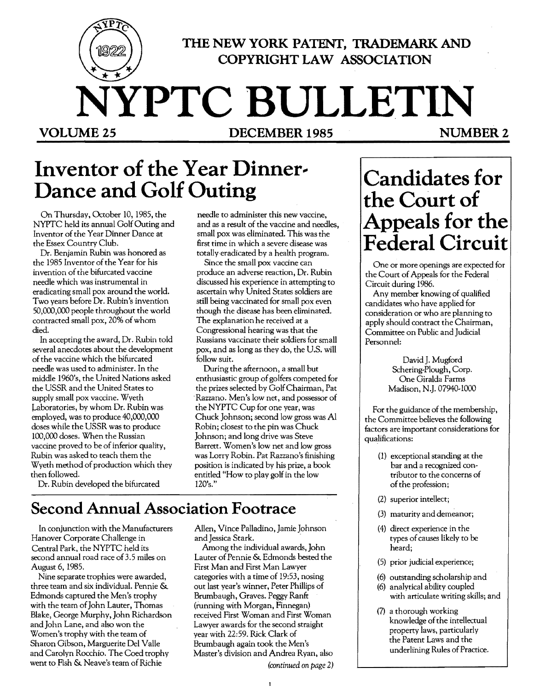

### **THE NEW YORK PATENT, TRADEMARK AND COPYRIGHT LAW ASSOCIATION**

# **NYPTC BULLETIN** VOLUME 25 **DECEMBER 1985** NUMBER 2

## **Inventor of the Year Dinner- Dance and Golf Outing**

On Thursday, October 10, 1985, the NYPTC held its annual Golf Outing and Inventor of the Year Dinner Dance at the Essex Country Club.

Dr. Benjamin Rubin was honored as the 1985 Inventor of the Year for his invention of the bifurcated vaccine needle which was instrumental in eradicating small pox around the world. Two years before Dr. Rubin's invention 50,000,000 people throughout the world contracted small pox, 20% of whom died.

In accepting the award, Dr. Rubin told several anecdotes about the development of the vaccine which the bifurcated needle was used to administer. In the middle 1960's, the United Nations asked the USSR and the United States to supply small pox vaccine. Wyeth Laboratories, by whom Dr. Rubin was employed, was to produce 40,000,000 doses while the USSR was to produce 100,000 doses. When the Russian vaccine proved to be of inferior quality, Rubin was asked to teach them the Wyeth method of production which they then followed.

needle to administer this new vaccine, and as a result of the vaccine and needles, small pox was eliminated. This was the first time in which a severe disease was totally eradicated by a health program.

Since the small pox vaccine can produce an adverse reaction, Dr. Rubin discussed his experience in attempting to ascertain why United States soldiers are still being vaccinated for small pox even though the disease has been eliminated. The explanation he received at a Congressional hearing was that the Russians vaccinate their soldiers for small pox, and as long as they do, the U.S. will follow suit.

During the afternoon, a small but enthusiastic group of golfers competed for the prizes selected by Golf Chairman, Pat . Razzano. Men's low net, and possessor of the NYPTC Cup for one year, was Chuck Johnson; second low gross was Al Robin; closest to the pin was Chuck Johnson; and long drive was Steve Barrett. Women's low net and low gross was Lorry Robin. Pat Razzano's finishing position is indicated by his prize, a book entitled "How to play golf in the low 120's."

Dr. Rubin developed the bifurcated

## **Second Annual Association Footrace**

In conjunction with the Manufacturers Hanover Corporate Challenge in Cenrral Park. the NYPTC held its second annual road race of 3.5 miles on August 6, 1985.

Nine separate trophies were awarded, three team and six individual. Pennie & Edmonds captured the Men's trophy with the team of John Lauter, Thomas Blake, George Murphy, John Richardson and John Lane, and also won the Women's trophy with the team of Sharon Gibson, Marguerite Del Valle and Carolyn Rocchio. The Coed trophy went to Fish & Neave's team of Richie

Allen, Vince Palladino, Jamie Johnson and Jessica Stark.

Among the individual awards, John Lauter of Pennie & Edmonds bested the First Man and First Man Lawyer categories with a time of 19:53, nosing out last year's winner, Peter Phillips of Brumbaugh, Graves. Peggy Ranft (running with Morgan, Finnegan) received First Woman and First Woman Lawyer awards for the second straight year with 22:59. Rick Clark of Brumbaugh again took the Men's Master's division and Andrea Ryan, also *(continued on page 2)* 

## **Candidates for the** Court of **Appeals for the Federal Circuit**

One or more openings are expected for the Court of Appeals for the Federal Circuit during 1986.

Any member knowing of qualified candidates who have applied for consideration or who are planning to apply should contract the Chairman, Committee on Public and Judicial Personnel:

> David J. Mugford Schering-Plough, Corp. One Giralda Farms Madison, N.J. 07940-1000

For the guidance of the membership. the Committee believes the following factors are important considerations for qualifications:

- (1) exceptional standing at the bar and a recognized contributor to the concerns of of the profession;
- (2) superior intellect;
- (3) maturity and demeanor;
- (4) direct experience in the types of causes likely to be heard;
- (5) prior judicial experience;
- (6) outstanding scholarship and
- (6) analytical ability coupled with articulate writing skills; and
- (7) a thorough working knowledge of the intellectual property laws, particularly the Patent Laws and the underlining Rules of Practice.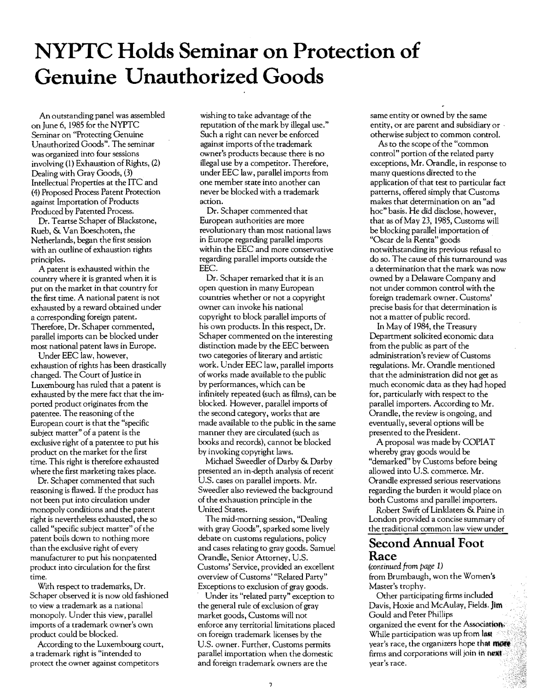## **NYPTC Holds Seminar on Protection of Genuine Unauthorized Goods**

An outstanding panel was assembled on June 6, 1985 for the NYPTC Seminar on "Protecting Genuine Unauthorized Goods". The seminar was organized into four sessions involving (1) Exhaustion of Rights, (2) Dealing with Gray Goods, (3) Intellectual Properties at the ITC and (4) Proposed Process Patent Protection against Importation of Products Produced by Patented Process.

Dr. Teartse Schaper of Blackstone, Rueb, & Van Boeschoten, the Netherlands, began the first session with an outline of exhaustion rights principles.

A patent is exhausted within the country where it is granted when it is put on the market in that country for the first time. A national patent is not exhausted by a reward obtained under a corresponding foreign patent. Therefore, Dr. Schaper commented, parallel imports can be blocked under most national patent laws in Europe.

Under EEC law, however, exhaustion of rights has been drastically changed. The Court of Justice in Luxembourg has ruled that a patent is exhausted by the mere fact that the imported product originates from the patentee. The reasoning of the European court is that the "specific subject matter" of a patent is the exclusive right of a patentee to put his product on the market for the first time. This right is therefore exhausted where the first marketing takes place.

Dr. Schaper commented that such reasoning is flawed. If the product has not been put into circulation under monopoly conditions and the patent right is nevertheless exhausted, the so called "specific subject matter" of the patent boils down to nothing more than the exclusive right of every manufacturer to put his nonpatented product into circulation for the first time.

With respect to trademarks, Dr. Schaper observed it is now old fashioned ro view a trademark as a national monopoly. Under this view, parallel imports of a trademark owner's own product could be blocked.

According to the Luxembourg court, a trademark right is "intended to protect the owner against competitors

wishing to take advantage of the reputation of the mark by illegal use." Such a right can never be enforced against imports of the trademark owner's products because there is no illegal use by a competitor. Therefore, under EEC law, parallel imports from one member state into another can never be blocked with a trademark action.

Dr. Schaper commented that European authorities are more revolutionary than most national laws in Europe regarding parallel imports' within the EEC and more conservative regarding parallel imports outside the EEC.

Dr. Schaper remarked that it is an open question in many European countries whether or not a copyright owner can invoke his national copyright to block parallel imports of his own products. In this respect, Dr. Schaper commented on the interesting distinction made by the EEC between two categories of literary and artistic work. Under EEC law, parallel imports ofworks made available to the public by performances, which can be infinitely repeated (such as films), can be blocked. However, parallel imports of the second category, works that are made available to the public in the same manner they are circulated (such as books and records), cannot be blocked by invoking copyright laws.

Michael Sweedler of Darby & Darby presented an in-depth analysis of recent U.S. cases on parallel imports. Mr. Sweedler also reviewed the background of the exhaustion principle in the United States.

The mid-morning session, "Dealing with gray Goods", sparked some lively debate on customs regulations, policy and cases relating to gray goods. Samuel Orandle, Senior Attorney, U.S. Customs' Service, provided an excellent overview of Customs' "Related Party" Exceptions to exclusion of gray goods.

Under its "related party" exception to the general rule of exclusion of gray market goods, Customs will not enforce any territorial limitations placed on foreign trademark licenses by the U.S. owner. Further, Customs permits parallel importation when the domestic and foreign trademark owners are the

same entity or owned by the same entity, or are parent and subsidiary or ' otherwise subject to common control.

As to the scope of the "common control" portion of the related party exceptions, Mr. Orandle, in response to many questions directed to the application of that test to particular fact patterns, offered simply that Customs makes that determination on an "ad hoc" basis. He did disclose, however, that as of May 23, 1985, Customs will be blocking parallel importation of "Oscar de la Renta" goods notwithstanding its previous refusal to do so. The cause of this turnaround was a determination that the mark was now owned by a Delaware Company and not under common control with the foreign trademark owner. Customs' precise basis for that determination is not a matter of public record.

In May of 1984, the Treasury Department solicited economic data from the public as part of the administration's review of Customs regulations. Mr. Orandle mentioned that the administration did not get as much economic data as they had hoped for, particularly with respect to the parallel importers. According to Mr. Orandle, the review is ongoing, and eventually, several options will be presented to the President.

A proposal was made by COPIAT whereby gray goods would be "demarked" by Customs before being allowed into U.S. commerce. Mr. Orandle expressed serious reservations regarding the burden it would place on both Customs and parallel importers.

Robert Swift of linklaters & Paine in London provided a concise summary of the traditional common law view under

### **Second Annual Foot Race**

*(rontinued from page 1)*  from Brumbaugh, won the Women's Master's trophy.

Other participating firms included Davis, Hoxie and McAulay, Fields. Jim Gould and Peter Phillips organized the event for the Association.<sup>4</sup> While participation was up from last year's race, the organizers hope that more firms and corporations will join in next. year's race.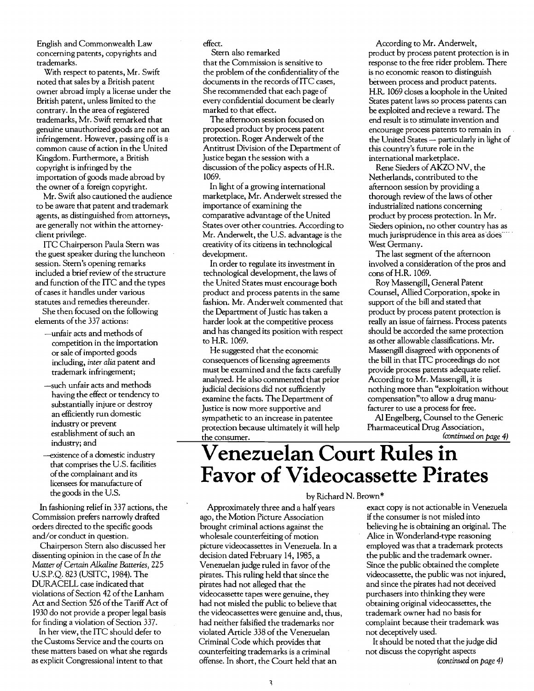English and Commonwealth Law concerning patents, copyrights and trademarks.

With respect to patents, Mr. Swift noted that sales by a British patent owner abroad imply a license under the British patent, unless limited to the contrary. In the area of registered trademarks, Mr. Swift remarked that genuine unauthorized goods are not an infringement. However, passing off is a common cause of action in the United Kingdom. Furthermore, a British copyright is infringed by the importation of goods made abroad by the owner of a foreign copyright.

Mr. Swift also cautioned the audience to be aware that patent and trademark agents, as distinguished from attorneys, are generally not within the attorneyclient privilege.

ITC Chairperson Paula Stern was the guest speaker during the luncheon session. Stern's opening remarks included a brief review of the structure and function of the ITC and the types ofcases it handles under various statutes and remedies thereunder.

She then focused on the following elements of the 337 actions:

- -unfair acts and methods of competition in the importation or sale of imported goods including, *inter alia* patent and trademark infringement;
- -such unfair acts and methods having the effect or tendency to substantially injure or destroy an efficiently run domestic industry or prevent establishment of such an industry; and
- -existence of a domestic industry that comprises the U.S. facilities ofthe complainant and its licensees for manufacture of the goods in the U.S.

In fashioning relief in 337 actions, the Commission prefers narrowly drafted orders directed to the specific goods and/or conduct in question.

Chairperson Stern also discussed her dissenting opinion in the case of In the *Matter of Certain Alkaline Batteries, 225*  U.S.P.Q. 823 (USITC, 1984). The DURACELL case indicated that violations of Section 42 of the Lanham Act and Section 526 of the Tariff Act of 1930 do not provide a proper legal basis for finding a violation of Section 337.

In her view, the ITC should defer to the Customs Service and the courts on these matters based on what she regards as explicit Congressional intent to that

effect.

Stern also remarked

that the Commission is sensitive to the problem of the confidentiality of the documents in the records ofITC cases, She recommended that each page of every confidential document be clearly marked to that effect.

The afternoon session focused on proposed product by process patent protection. Roger Anderwelt of the Antitrust Division of the Department of Justice began the session with a discussion of the policy aspects of H.R. 1069.

In light of a growing international marketplace, Mr. Anderwelt stressed the importance of examining the comparative advantage of the United States over other countries. According to Mr. Anderwelt, the U.S. advantage is the creativity of its citizens in technological development.

In order to regulate its investment in technological development, the laws of the United States must encourage both product and process patents in the same fashion. Mr. Anderwelt commented that the Department of Justic has taken a harder look at the competitive process and has changed its position with respect to H.R. 1069.

He suggested that the economic consequences of licensing agreements must be examined and the facts carefully analyzed. He also commented that prior judicial decisions did not sufficiently examine the facts. The Department of Justice is now more supportive and sympathetic to an increase in patentee protection because ultimately it will help the consumer.

According to Mr. Anderwelt, product by process patent protection is in response to the free rider problem. There is no economic reason to distinguish between process and product patents. H.R. 1069 closes a loophole in the United States patent laws so process patents can be exploited and recieve a reward. The end result is to stimulate invention and encourage process patents to remain in the United States - particularly in light of this country's future role in the international marketplace.

Rene Sieders of AKZO NV, the Netherlands, contributed to the afternoon session by providing a thorough review of the laws of other industrialized nations concerning product by process protection. In Mr. Sieders opinion, no other country has as much jurisprudence in this area as does West Germany.

The last segment of the afternoon involved a consideration of the pros and cons ofH.R. 1069.

Roy Massengill, General Patent Counsel, Allied Corporation, spoke in support of the bill and stated that product by process patent protection is really an issue of fairness. Process patents should be accorded the same protection as other allowable classifications. Mr. Massengill disagreed with opponents of the bill in that ITC proceedings do not provide process patents adequate relief. According to Mr. Massengill, it is nothing more than "exploitation without compensation"'to allow a drug manufacturer to use a process for free.

AI Engelberg, Counsel to the Generic Pharmaceutical Drug Association, *(continued* on *page 4)* 

## **Venezuelan Court Rules in Favor of Videocassette Pirates**

Approximately three and a half years ago, the Motion Picture Association brought criminal actions against the wholesale counterfeiting of motion picture videocassettes in Venezuela. In a decision dated February 14, 1985, a Venezuelan judge ruled in favor of the pirates. This ruling held that since the pirates had not alleged that the videocassette tapes were genuine, they had not misled the public to believe that the videocassettes were genuine and, thus, had neither falsified the trademarks nor violated Article 338 of the Venezuelan Criminal Code which provides that counterfeiting trademarks is a criminal offense. In short, the Court held that an

### by Richard N. Brown\*

exact copy is not actionable in Venezuela if the consumer is not misled into believing he is obtaining an original. The Alice in Wonderland-type reasoning employed was that a trademark protects the public and the trademark owner. Since the public obtained the complete videocassette, the public was not injured, and since the pirates had not deceived purchasers into thinking they were obtaining original videocassettes, the trademark owner had no basis for complaint because their trademark was not deceptively used.

It should be noted that the judge did not discuss the copyright aspects *(continued* on *page 4)*